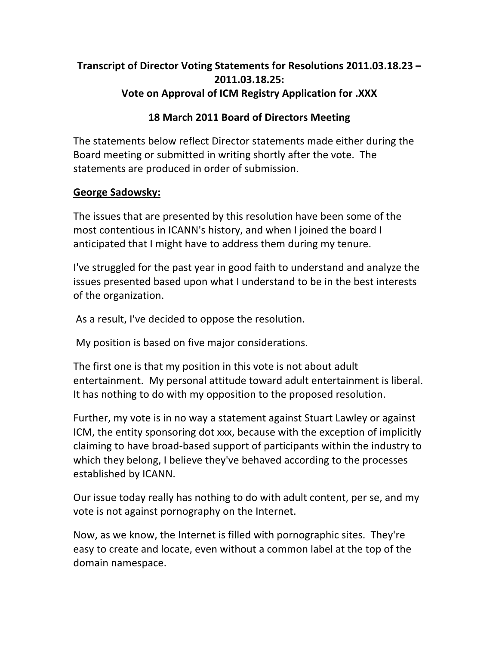# **Transcript of Director Voting Statements for Resolutions 2011.03.18.23 – 2011.03.18.25:\* Vote on Approval of ICM Registry Application for .XXX**

#### **18 March 2011 Board of Directors Meeting**

The statements below reflect Director statements made either during the Board meeting or submitted in writing shortly after the vote. The statements are produced in order of submission.

#### **George Sadowsky:**

The issues that are presented by this resolution have been some of the most contentious in ICANN's history, and when I joined the board I anticipated that I might have to address them during my tenure.

I've struggled for the past year in good faith to understand and analyze the issues presented based upon what I understand to be in the best interests of the organization.

As a result, I've decided to oppose the resolution.

My position is based on five major considerations.

The first one is that my position in this vote is not about adult entertainment. My personal attitude toward adult entertainment is liberal. It has nothing to do with my opposition to the proposed resolution.

Further, my vote is in no way a statement against Stuart Lawley or against ICM, the entity sponsoring dot xxx, because with the exception of implicitly claiming to have broad-based support of participants within the industry to which they belong, I believe they've behaved according to the processes established by ICANN.

Our issue today really has nothing to do with adult content, per se, and my vote is not against pornography on the Internet.

Now, as we know, the Internet is filled with pornographic sites. They're easy to create and locate, even without a common label at the top of the domain namespace.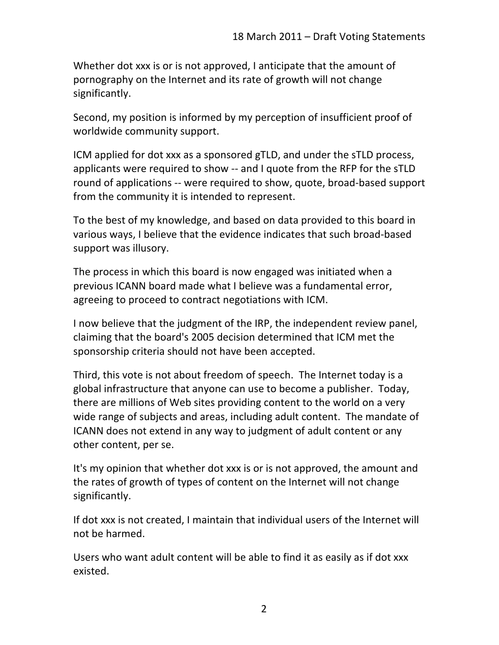Whether dot xxx is or is not approved, I anticipate that the amount of pornography on the Internet and its rate of growth will not change significantly.

Second, my position is informed by my perception of insufficient proof of worldwide community support.

ICM applied for dot xxx as a sponsored gTLD, and under the sTLD process, applicants were required to show -- and I quote from the RFP for the sTLD round of applications -- were required to show, quote, broad-based support from the community it is intended to represent.

To the best of my knowledge, and based on data provided to this board in various ways, I believe that the evidence indicates that such broad-based support was illusory.

The process in which this board is now engaged was initiated when a previous ICANN board made what I believe was a fundamental error, agreeing to proceed to contract negotiations with ICM.

I now believe that the judgment of the IRP, the independent review panel, claiming that the board's 2005 decision determined that ICM met the sponsorship criteria should not have been accepted.

Third, this vote is not about freedom of speech. The Internet today is a global infrastructure that anyone can use to become a publisher. Today, there are millions of Web sites providing content to the world on a very wide range of subjects and areas, including adult content. The mandate of ICANN does not extend in any way to judgment of adult content or any other content, per se.

It's my opinion that whether dot xxx is or is not approved, the amount and the rates of growth of types of content on the Internet will not change significantly.

If dot xxx is not created, I maintain that individual users of the Internet will not be harmed.

Users who want adult content will be able to find it as easily as if dot xxx existed.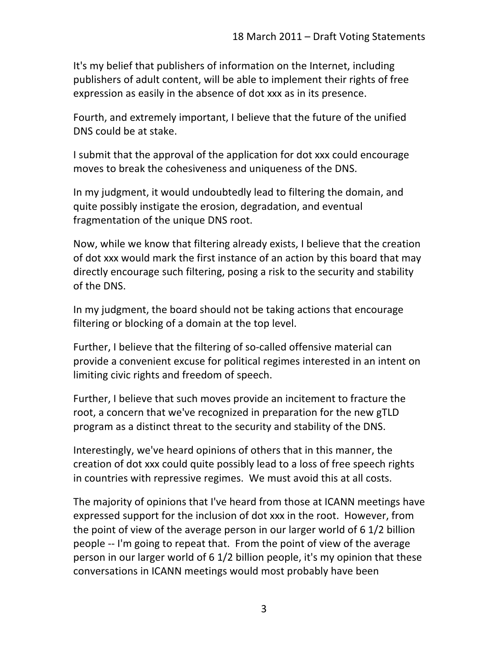It's my belief that publishers of information on the Internet, including publishers of adult content, will be able to implement their rights of free expression as easily in the absence of dot xxx as in its presence.

Fourth, and extremely important, I believe that the future of the unified DNS could be at stake.

I submit that the approval of the application for dot xxx could encourage moves to break the cohesiveness and uniqueness of the DNS.

In my judgment, it would undoubtedly lead to filtering the domain, and quite possibly instigate the erosion, degradation, and eventual fragmentation of the unique DNS root.

Now, while we know that filtering already exists, I believe that the creation of dot xxx would mark the first instance of an action by this board that may directly encourage such filtering, posing a risk to the security and stability of the DNS.

In my judgment, the board should not be taking actions that encourage filtering or blocking of a domain at the top level.

Further, I believe that the filtering of so-called offensive material can provide a convenient excuse for political regimes interested in an intent on limiting civic rights and freedom of speech.

Further, I believe that such moves provide an incitement to fracture the root, a concern that we've recognized in preparation for the new gTLD program as a distinct threat to the security and stability of the DNS.

Interestingly, we've heard opinions of others that in this manner, the creation of dot xxx could quite possibly lead to a loss of free speech rights in countries with repressive regimes. We must avoid this at all costs.

The majority of opinions that I've heard from those at ICANN meetings have expressed support for the inclusion of dot xxx in the root. However, from the point of view of the average person in our larger world of  $6 \frac{1}{2}$  billion people -- I'm going to repeat that. From the point of view of the average person in our larger world of  $6$  1/2 billion people, it's my opinion that these conversations in ICANN meetings would most probably have been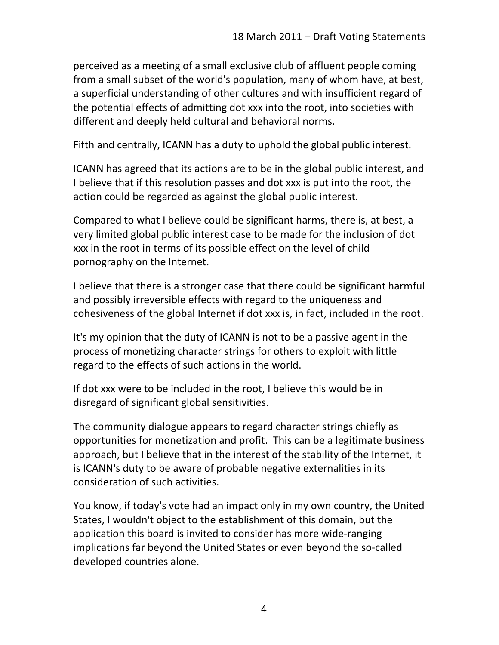perceived as a meeting of a small exclusive club of affluent people coming from a small subset of the world's population, many of whom have, at best, a superficial understanding of other cultures and with insufficient regard of the potential effects of admitting dot xxx into the root, into societies with different and deeply held cultural and behavioral norms.

Fifth and centrally, ICANN has a duty to uphold the global public interest.

ICANN has agreed that its actions are to be in the global public interest, and I believe that if this resolution passes and dot xxx is put into the root, the action could be regarded as against the global public interest.

Compared to what I believe could be significant harms, there is, at best, a very limited global public interest case to be made for the inclusion of dot xxx in the root in terms of its possible effect on the level of child pornography on the Internet.

I believe that there is a stronger case that there could be significant harmful and possibly irreversible effects with regard to the uniqueness and cohesiveness of the global Internet if dot xxx is, in fact, included in the root.

It's my opinion that the duty of ICANN is not to be a passive agent in the process of monetizing character strings for others to exploit with little regard to the effects of such actions in the world.

If dot xxx were to be included in the root, I believe this would be in disregard of significant global sensitivities.

The community dialogue appears to regard character strings chiefly as opportunities for monetization and profit. This can be a legitimate business approach, but I believe that in the interest of the stability of the Internet, it is ICANN's duty to be aware of probable negative externalities in its consideration of such activities.

You know, if today's vote had an impact only in my own country, the United States, I wouldn't object to the establishment of this domain, but the application this board is invited to consider has more wide-ranging implications far beyond the United States or even beyond the so-called developed countries alone.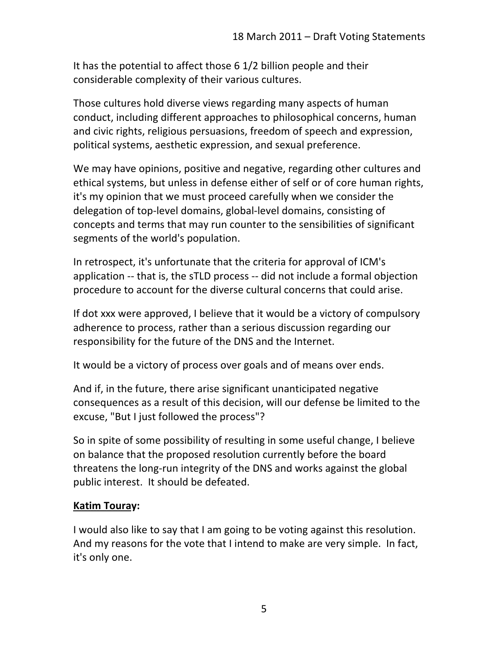It has the potential to affect those  $6$  1/2 billion people and their considerable complexity of their various cultures.

Those cultures hold diverse views regarding many aspects of human conduct, including different approaches to philosophical concerns, human and civic rights, religious persuasions, freedom of speech and expression, political systems, aesthetic expression, and sexual preference.

We may have opinions, positive and negative, regarding other cultures and ethical systems, but unless in defense either of self or of core human rights, it's my opinion that we must proceed carefully when we consider the delegation of top-level domains, global-level domains, consisting of concepts and terms that may run counter to the sensibilities of significant segments of the world's population.

In retrospect, it's unfortunate that the criteria for approval of ICM's application -- that is, the sTLD process -- did not include a formal objection procedure to account for the diverse cultural concerns that could arise.

If dot xxx were approved, I believe that it would be a victory of compulsory adherence to process, rather than a serious discussion regarding our responsibility for the future of the DNS and the Internet.

It would be a victory of process over goals and of means over ends.

And if, in the future, there arise significant unanticipated negative consequences as a result of this decision, will our defense be limited to the excuse, "But I just followed the process"?

So in spite of some possibility of resulting in some useful change, I believe on balance that the proposed resolution currently before the board threatens the long-run integrity of the DNS and works against the global public interest. It should be defeated.

### **Katim Touray:**

I would also like to say that I am going to be voting against this resolution. And my reasons for the vote that I intend to make are very simple. In fact, it's only one.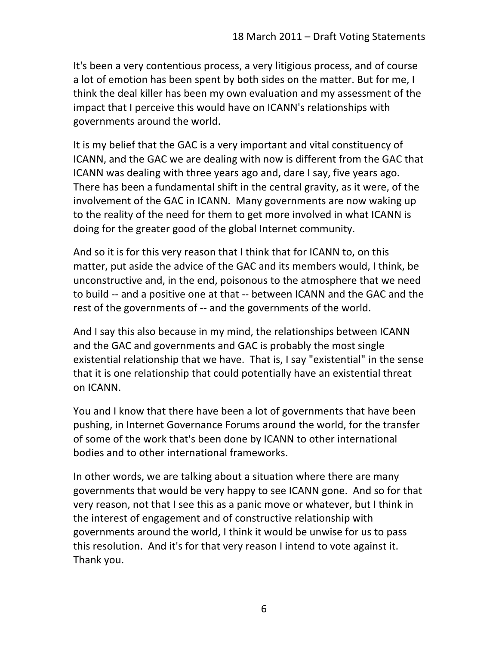It's been a very contentious process, a very litigious process, and of course a lot of emotion has been spent by both sides on the matter. But for me, I think the deal killer has been my own evaluation and my assessment of the impact that I perceive this would have on ICANN's relationships with governments around the world.

It is my belief that the GAC is a very important and vital constituency of ICANN, and the GAC we are dealing with now is different from the GAC that ICANN was dealing with three years ago and, dare I say, five years ago. There has been a fundamental shift in the central gravity, as it were, of the involvement of the GAC in ICANN. Many governments are now waking up to the reality of the need for them to get more involved in what ICANN is doing for the greater good of the global Internet community.

And so it is for this very reason that I think that for ICANN to, on this matter, put aside the advice of the GAC and its members would, I think, be unconstructive and, in the end, poisonous to the atmosphere that we need to build -- and a positive one at that -- between ICANN and the GAC and the rest of the governments of -- and the governments of the world.

And I say this also because in my mind, the relationships between ICANN and the GAC and governments and GAC is probably the most single existential relationship that we have. That is, I say "existential" in the sense that it is one relationship that could potentially have an existential threat on ICANN.

You and I know that there have been a lot of governments that have been pushing, in Internet Governance Forums around the world, for the transfer of some of the work that's been done by ICANN to other international bodies and to other international frameworks.

In other words, we are talking about a situation where there are many governments that would be very happy to see ICANN gone. And so for that very reason, not that I see this as a panic move or whatever, but I think in the interest of engagement and of constructive relationship with governments around the world, I think it would be unwise for us to pass this resolution. And it's for that very reason I intend to vote against it. Thank you.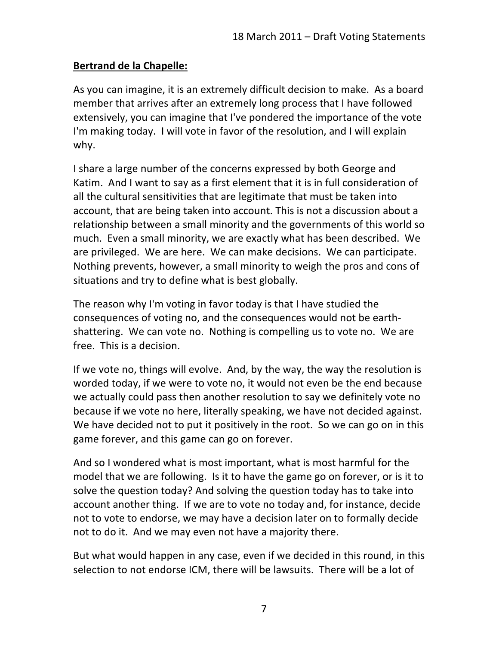### **Bertrand de la Chapelle:**

As you can imagine, it is an extremely difficult decision to make. As a board member that arrives after an extremely long process that I have followed extensively, you can imagine that I've pondered the importance of the vote I'm making today. I will vote in favor of the resolution, and I will explain why.

I share a large number of the concerns expressed by both George and Katim. And I want to say as a first element that it is in full consideration of all the cultural sensitivities that are legitimate that must be taken into account, that are being taken into account. This is not a discussion about a relationship between a small minority and the governments of this world so much. Even a small minority, we are exactly what has been described. We are privileged. We are here. We can make decisions. We can participate. Nothing prevents, however, a small minority to weigh the pros and cons of situations and try to define what is best globally.

The reason why I'm voting in favor today is that I have studied the consequences of voting no, and the consequences would not be earthshattering. We can vote no. Nothing is compelling us to vote no. We are free. This is a decision.

If we vote no, things will evolve. And, by the way, the way the resolution is worded today, if we were to vote no, it would not even be the end because we actually could pass then another resolution to say we definitely vote no because if we vote no here, literally speaking, we have not decided against. We have decided not to put it positively in the root. So we can go on in this game forever, and this game can go on forever.

And so I wondered what is most important, what is most harmful for the model that we are following. Is it to have the game go on forever, or is it to solve the question today? And solving the question today has to take into account another thing. If we are to vote no today and, for instance, decide not to vote to endorse, we may have a decision later on to formally decide not to do it. And we may even not have a majority there.

But what would happen in any case, even if we decided in this round, in this selection to not endorse ICM, there will be lawsuits. There will be a lot of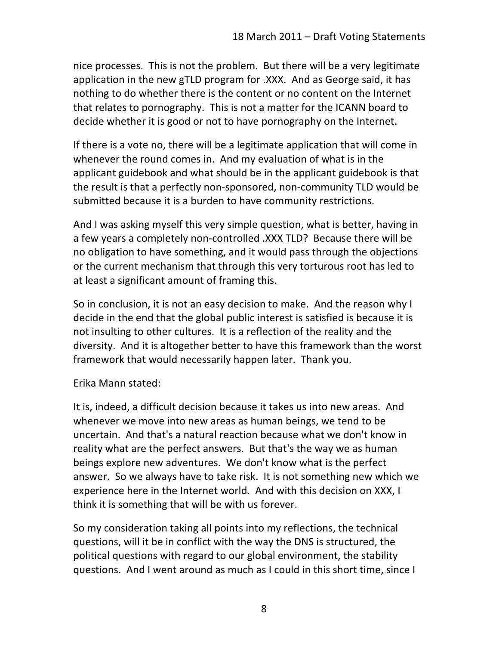nice processes. This is not the problem. But there will be a very legitimate application in the new gTLD program for .XXX. And as George said, it has nothing to do whether there is the content or no content on the Internet that relates to pornography. This is not a matter for the ICANN board to decide whether it is good or not to have pornography on the Internet.

If there is a vote no, there will be a legitimate application that will come in whenever the round comes in. And my evaluation of what is in the applicant guidebook and what should be in the applicant guidebook is that the result is that a perfectly non-sponsored, non-community TLD would be submitted because it is a burden to have community restrictions.

And I was asking myself this very simple question, what is better, having in a few years a completely non-controlled .XXX TLD? Because there will be no obligation to have something, and it would pass through the objections or the current mechanism that through this very torturous root has led to at least a significant amount of framing this.

So in conclusion, it is not an easy decision to make. And the reason why I decide in the end that the global public interest is satisfied is because it is not insulting to other cultures. It is a reflection of the reality and the diversity. And it is altogether better to have this framework than the worst framework that would necessarily happen later. Thank you.

Erika Mann stated:

It is, indeed, a difficult decision because it takes us into new areas. And whenever we move into new areas as human beings, we tend to be uncertain. And that's a natural reaction because what we don't know in reality what are the perfect answers. But that's the way we as human beings explore new adventures. We don't know what is the perfect answer. So we always have to take risk. It is not something new which we experience here in the Internet world. And with this decision on XXX, I think it is something that will be with us forever.

So my consideration taking all points into my reflections, the technical questions, will it be in conflict with the way the DNS is structured, the political questions with regard to our global environment, the stability questions. And I went around as much as I could in this short time, since I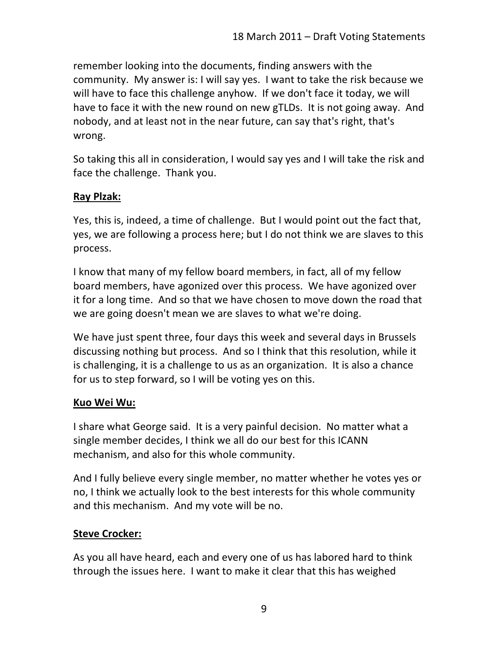remember looking into the documents, finding answers with the community. My answer is: I will say yes. I want to take the risk because we will have to face this challenge anyhow. If we don't face it today, we will have to face it with the new round on new gTLDs. It is not going away. And nobody, and at least not in the near future, can say that's right, that's wrong.

So taking this all in consideration, I would say yes and I will take the risk and face the challenge. Thank you.

## **Ray Plzak:**

Yes, this is, indeed, a time of challenge. But I would point out the fact that, yes, we are following a process here; but I do not think we are slaves to this process.

I know that many of my fellow board members, in fact, all of my fellow board members, have agonized over this process. We have agonized over it for a long time. And so that we have chosen to move down the road that we are going doesn't mean we are slaves to what we're doing.

We have just spent three, four days this week and several days in Brussels discussing nothing but process. And so I think that this resolution, while it is challenging, it is a challenge to us as an organization. It is also a chance for us to step forward, so I will be voting yes on this.

### **Kuo Wei Wu:**

I share what George said. It is a very painful decision. No matter what a single member decides, I think we all do our best for this ICANN mechanism, and also for this whole community.

And I fully believe every single member, no matter whether he votes yes or no, I think we actually look to the best interests for this whole community and this mechanism. And my vote will be no.

# **Steve Crocker:**

As you all have heard, each and every one of us has labored hard to think through the issues here. I want to make it clear that this has weighed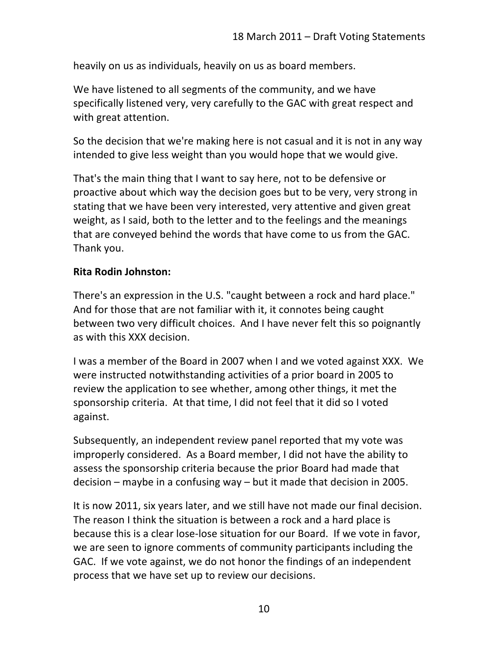heavily on us as individuals, heavily on us as board members.

We have listened to all segments of the community, and we have specifically listened very, very carefully to the GAC with great respect and with great attention.

So the decision that we're making here is not casual and it is not in any way intended to give less weight than you would hope that we would give.

That's the main thing that I want to say here, not to be defensive or proactive about which way the decision goes but to be very, very strong in stating that we have been very interested, very attentive and given great weight, as I said, both to the letter and to the feelings and the meanings that are conveyed behind the words that have come to us from the GAC. Thank you.

### **Rita Rodin Johnston:**

There's an expression in the U.S. "caught between a rock and hard place." And for those that are not familiar with it, it connotes being caught between two very difficult choices. And I have never felt this so poignantly as with this XXX decision.

I was a member of the Board in 2007 when I and we voted against XXX. We were instructed notwithstanding activities of a prior board in 2005 to review the application to see whether, among other things, it met the sponsorship criteria. At that time, I did not feel that it did so I voted against.

Subsequently, an independent review panel reported that my vote was improperly considered. As a Board member, I did not have the ability to assess the sponsorship criteria because the prior Board had made that decision – maybe in a confusing way – but it made that decision in 2005.

It is now 2011, six years later, and we still have not made our final decision. The reason I think the situation is between a rock and a hard place is because this is a clear lose-lose situation for our Board. If we vote in favor, we are seen to ignore comments of community participants including the GAC. If we vote against, we do not honor the findings of an independent process that we have set up to review our decisions.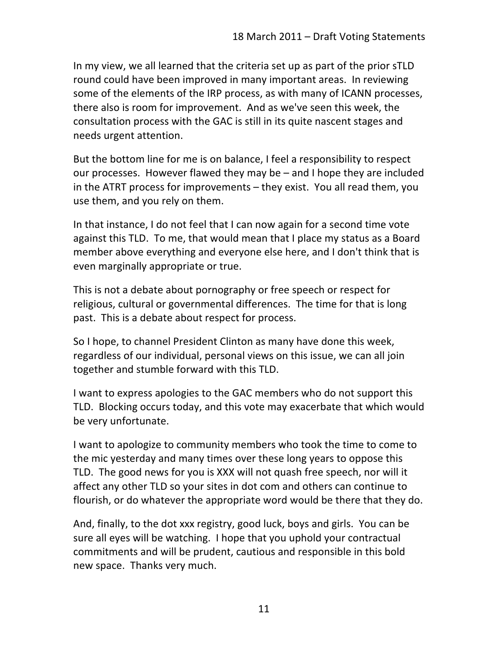In my view, we all learned that the criteria set up as part of the prior sTLD round could have been improved in many important areas. In reviewing some of the elements of the IRP process, as with many of ICANN processes, there also is room for improvement. And as we've seen this week, the consultation process with the GAC is still in its quite nascent stages and needs urgent attention.

But the bottom line for me is on balance, I feel a responsibility to respect our processes. However flawed they may be  $-$  and I hope they are included in the ATRT process for improvements  $-$  they exist. You all read them, you use them, and you rely on them.

In that instance, I do not feel that I can now again for a second time vote against this TLD. To me, that would mean that I place my status as a Board member above everything and everyone else here, and I don't think that is even marginally appropriate or true.

This is not a debate about pornography or free speech or respect for religious, cultural or governmental differences. The time for that is long past. This is a debate about respect for process.

So I hope, to channel President Clinton as many have done this week, regardless of our individual, personal views on this issue, we can all join together and stumble forward with this TLD.

I want to express apologies to the GAC members who do not support this TLD. Blocking occurs today, and this vote may exacerbate that which would be very unfortunate.

I want to apologize to community members who took the time to come to the mic yesterday and many times over these long years to oppose this TLD. The good news for you is XXX will not quash free speech, nor will it affect any other TLD so your sites in dot com and others can continue to flourish, or do whatever the appropriate word would be there that they do.

And, finally, to the dot xxx registry, good luck, boys and girls. You can be sure all eyes will be watching. I hope that you uphold your contractual commitments and will be prudent, cautious and responsible in this bold new space. Thanks very much.